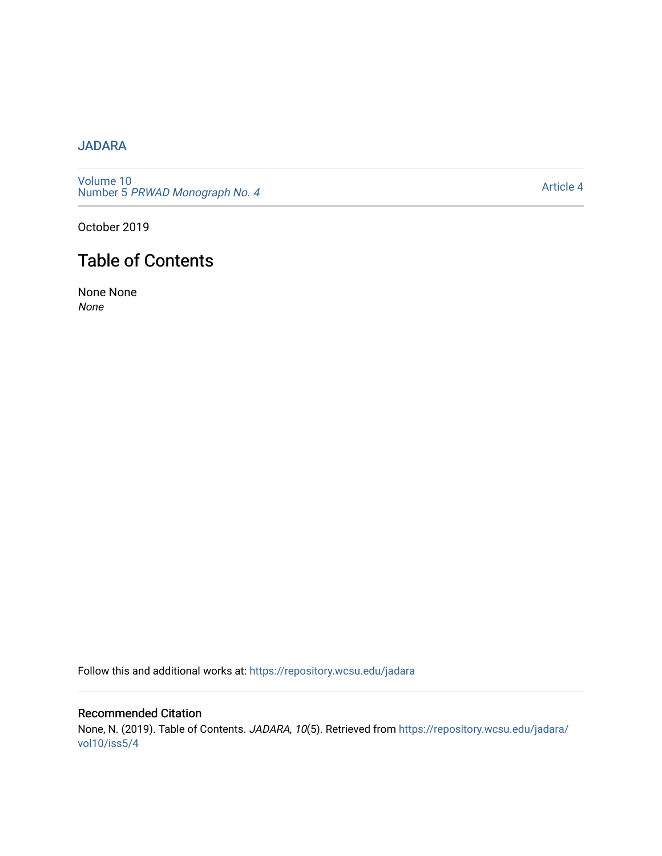## [JADARA](https://repository.wcsu.edu/jadara)

[Volume 10](https://repository.wcsu.edu/jadara/vol10)  Number 5 PRWAD Monograph No. 4

[Article 4](https://repository.wcsu.edu/jadara/vol10/iss5/4) 

October 2019

## Table of Contents

None None None

Follow this and additional works at: [https://repository.wcsu.edu/jadara](https://repository.wcsu.edu/jadara?utm_source=repository.wcsu.edu%2Fjadara%2Fvol10%2Fiss5%2F4&utm_medium=PDF&utm_campaign=PDFCoverPages)

Recommended Citation None, N. (2019). Table of Contents. JADARA, 10(5). Retrieved from [https://repository.wcsu.edu/jadara/](https://repository.wcsu.edu/jadara/vol10/iss5/4?utm_source=repository.wcsu.edu%2Fjadara%2Fvol10%2Fiss5%2F4&utm_medium=PDF&utm_campaign=PDFCoverPages) [vol10/iss5/4](https://repository.wcsu.edu/jadara/vol10/iss5/4?utm_source=repository.wcsu.edu%2Fjadara%2Fvol10%2Fiss5%2F4&utm_medium=PDF&utm_campaign=PDFCoverPages)